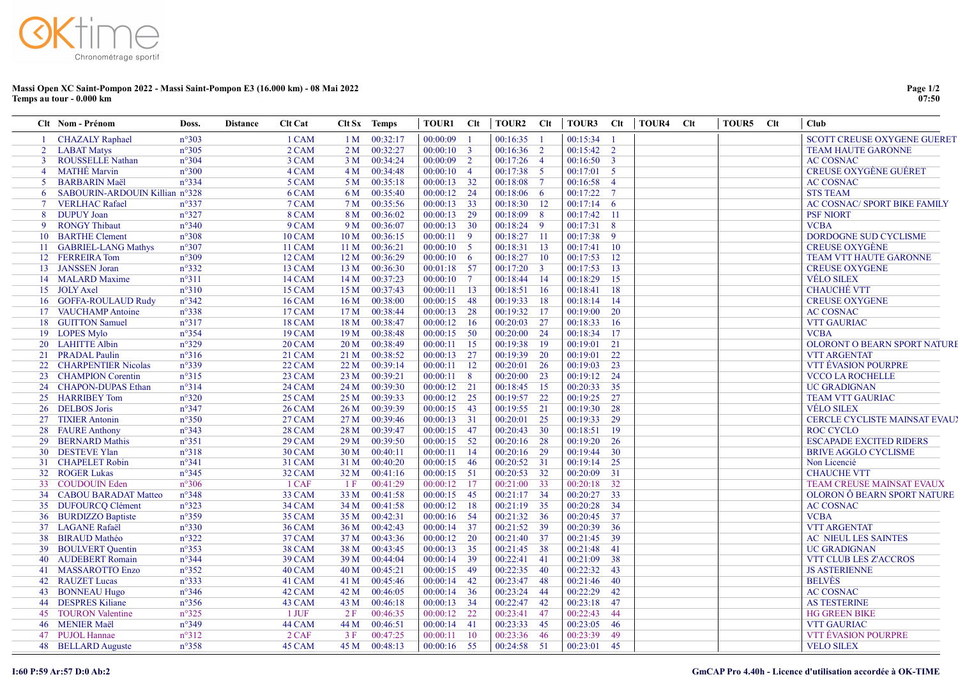## Massi Open XC Saint-Pompon 2022 - Massi Saint-Pompon E3 (16.000 km) - 08 Mai 2022 Temps au tour - 0.000 km

|                | Clt Nom - Prénom                         | Doss.                            | <b>Distance</b> | <b>Clt Cat</b>   | Clt Sx Temps    |                      | <b>TOUR1</b>         | - Clt           | TOUR2 Clt                    |                | TOUR3 Clt            |                 | <b>TOUR4</b><br>Clt | TOUR5 Clt | <b>Club</b>                          |
|----------------|------------------------------------------|----------------------------------|-----------------|------------------|-----------------|----------------------|----------------------|-----------------|------------------------------|----------------|----------------------|-----------------|---------------------|-----------|--------------------------------------|
|                | <b>CHAZALY Raphael</b>                   | $n^{\circ}303$                   |                 | 1 CAM            | 1 <sub>M</sub>  | 00:32:17             | 00:00:09             |                 | $00:16:35$ 1                 |                | 00:15:34             |                 |                     |           | <b>SCOTT CREUSE OXYGENE GUERET</b>   |
|                | <b>LABAT Matys</b>                       | $n^{\circ}305$                   |                 | 2 CAM            | 2 M             | 00:32:27             | $00:00:10$ 3         |                 | $00:16:36$ 2                 |                | $00:15:42$ 2         |                 |                     |           | <b>TEAM HAUTE GARONNE</b>            |
| $\overline{3}$ | <b>ROUSSELLE Nathan</b>                  | $n^{\circ}304$                   |                 | 3 CAM            | 3 M             | 00:34:24             | $00:00:09$ 2         |                 | $00:17:26$ 4                 |                | $00:16:50$ 3         |                 |                     |           | <b>AC COSNAC</b>                     |
| 4              | <b>MATHÉ Marvin</b>                      | $n^{\circ}300$                   |                 | 4 CAM            | 4 M             | 00:34:48             | $00:00:10$ 4         |                 | $00:17:38$ 5                 |                | $00:17:01$ 5         |                 |                     |           | <b>CREUSE OXYGÈNE GUÉRET</b>         |
| 5.             | <b>BARBARIN Maël</b>                     | $n^{\circ}334$                   |                 | 5 CAM            | 5 M             | 00:35:18             | $00:00:13$ 32        |                 | 00:18:08 7                   |                | $00:16:58$ 4         |                 |                     |           | <b>AC COSNAC</b>                     |
| 6              | SABOURIN-ARDOUIN Killian n°328           |                                  |                 | 6 CAM            | 6 M             | 00:35:40             | 00:00:12             | 24              | 00:18:06 6                   |                | 00:17:22             | $7\phantom{.0}$ |                     |           | <b>STS TEAM</b>                      |
| $\tau$         | <b>VERLHAC Rafael</b>                    | $n^{\circ}337$                   |                 | 7 CAM            | 7 M             | 00:35:56             | 00:00:13             | - 33            | 00:18:30 12                  |                | $00:17:14$ 6         |                 |                     |           | <b>AC COSNAC/ SPORT BIKE FAMILY</b>  |
| 8              | <b>DUPUY</b> Joan                        | $n^{\circ}327$                   |                 | 8 CAM            | 8 M             | 00:36:02             | 00:00:13             | 29              | 00:18:09                     | 8 <sup>8</sup> | 00:17:42             | $\overline{11}$ |                     |           | <b>PSF NIORT</b>                     |
| 9              | <b>RONGY Thibaut</b>                     | $n^{\circ}340$                   |                 | 9 CAM            | 9 M             | 00:36:07             | $00:00:13$ 30        |                 | 00:18:24 9                   |                | 00:17:31             | 8 <sup>8</sup>  |                     |           | <b>VCBA</b>                          |
| 10             | <b>BARTHE Clement</b>                    | $n^{\circ}308$                   |                 | 10 CAM           | 10 <sub>M</sub> | 00:36:15             | 00:00:11             | -9              | 00:18:27 11                  |                | 00:17:38 9           |                 |                     |           | DORDOGNE SUD CYCLISME                |
| 11             | <b>GABRIEL-LANG Mathys</b>               | $n^{\circ}307$                   |                 | 11 CAM           | 11 <sub>M</sub> | 00:36:21             | $00:00:10$ 5         |                 | 00:18:31                     | 13             | 00:17:41             | $\overline{10}$ |                     |           | <b>CREUSE OXYGÈNE</b>                |
|                | 12 FERREIRA Tom                          | n°309                            |                 | 12 CAM           | 12M             | 00:36:29             | 00:00:10             | $6\overline{6}$ | 00:18:27                     | 10             | 00:17:53             | -12             |                     |           | TEAM VTT HAUTE GARONNE               |
|                | 13 JANSSEN Joran                         | $n^{\circ}332$                   |                 | 13 CAM           | 13 M            | 00:36:30             | $00:01:18$ 57        |                 | 00:17:20 3                   |                | 00:17:53             | 13              |                     |           | <b>CREUSE OXYGENE</b>                |
|                | 14 MALARD Maxime                         | $n^{\circ}311$                   |                 | 14 CAM           | 14 M            | 00:37:23             | 00:00:10             | $\overline{7}$  | 00:18:44 14                  |                | 00:18:29             | 15              |                     |           | <b>VÉLO SILEX</b>                    |
|                | 15 JOLY Axel                             | $n^{\circ}310$                   |                 | 15 CAM           | 15 M            | 00:37:43             | 00:00:11             | 13              | 00:18:51                     | -16            | 00:18:41             | -18             |                     |           | <b>CHAUCHÉ VTT</b>                   |
| 16             | <b>GOFFA-ROULAUD Rudy</b>                | $n^{\circ}342$                   |                 | <b>16 CAM</b>    | 16 <sub>M</sub> | 00:38:00             | 00:00:15             | 48              | 00:19:33                     | -18            | 00:18:14             | 14              |                     |           | <b>CREUSE OXYGENE</b>                |
|                | 17 VAUCHAMP Antoine                      | n°338                            |                 | 17 CAM           | 17 <sub>M</sub> | 00:38:44             | 00:00:13             | 28              | 00:19:32                     | - 17           | 00:19:00             | <sup>20</sup>   |                     |           | <b>AC COSNAC</b>                     |
| 18             | <b>GUITTON Samuel</b>                    | $n^{\circ}317$                   |                 | 18 CAM           | 18 M            | 00:38:47             | 00:00:12             | <sup>16</sup>   | 00:20:03                     | 27             | 00:18:33             | 16              |                     |           | <b>VTT GAURIAC</b>                   |
|                | 19 LOPES Mylo                            | $n^{\circ}354$                   |                 | 19 CAM           | 19 <sub>M</sub> | 00:38:48             | 00:00:15             | - 50            | 00:20:00                     | 24             | 00:18:34             | -17             |                     |           | <b>VCBA</b>                          |
|                | 20 LAHITTE Albin                         | $n^{\circ}329$                   |                 | 20 CAM           | 20 M            | 00:38:49             | 00:00:11             | 15              | 00:19:38                     | -19            | 00:19:01             | 21              |                     |           | OLORONT O BEARN SPORT NATURE         |
|                | 21 PRADAL Paulin                         | $n^{\circ}316$                   |                 | 21 CAM           | 21 M            | 00:38:52             | 00:00:13             | 27              | 00:19:39                     | 20             | 00:19:01             | 22              |                     |           | <b>VTT ARGENTAT</b>                  |
| 22             | <b>CHARPENTIER Nicolas</b>               | n°339                            |                 | 22 CAM           | 22 M            | 00:39:14             | 00:00:11             | -12             | 00:20:01                     | 26             | 00:19:03             | 23              |                     |           | <b>VTT ÉVASION POURPRE</b>           |
|                | 23 CHAMPION Corentin                     | $n^{\circ}315$                   |                 | 23 CAM           | 23 M            | 00:39:21             | 00:00:11             | 8 <sup>8</sup>  | 00:20:00                     | 23             | 00:19:12             | 24              |                     |           | <b>VCCO LA ROCHELLE</b>              |
|                | 24 CHAPON-DUPAS Ethan                    | $n^{\circ}314$                   |                 | 24 CAM           | 24 M            | 00:39:30             | 00:00:12             | 21              | 00:18:45 15                  |                | 00:20:33             | 35              |                     |           | <b>UC GRADIGNAN</b>                  |
|                | 25 HARRIBEY Tom                          | $n^{\circ}320$                   |                 | 25 CAM           | 25 M            | 00:39:33             | 00:00:12             | 25              | 00:19:57 22                  |                | 00:19:25 27          |                 |                     |           | <b>TEAM VTT GAURIAC</b>              |
|                | 26 DELBOS Joris                          | $n^{\circ}347$                   |                 | 26 CAM           | 26 M            | 00:39:39             | 00:00:15             | 43              | 00:19:55 21                  |                | 00:19:30             | -28             |                     |           | <b>VELO SILEX</b>                    |
|                | 27 TIXIER Antonin                        | $n^{\circ}350$                   |                 | 27 CAM           | 27 M            | 00:39:46             | 00:00:13             | 31              | 00:20:01                     | 25             | 00:19:33             | - 29            |                     |           | <b>CERCLE CYCLISTE MAINSAT EVAUY</b> |
|                | 28 FAURE Anthony                         | $n^{\circ}343$                   |                 | 28 CAM           | 28 M            | 00:39:47             | 00:00:15             | 47              | 00:20:43                     | 30             | 00:18:51             | -19             |                     |           | <b>ROC CYCLO</b>                     |
|                | 29 BERNARD Mathis                        | $n^{\circ}351$                   |                 | 29 CAM           | 29 M            | 00:39:50             | 00:00:15             | - 52            | 00:20:16 28                  |                | 00:19:20             | <sup>26</sup>   |                     |           | <b>ESCAPADE EXCITED RIDERS</b>       |
| 30             | <b>DESTEVE Ylan</b>                      | $n^{\circ}318$                   |                 | 30 CAM           | 30 M            | 00:40:11             | 00:00:11             | 14              | 00:20:16 29                  |                | 00:19:44             | <sup>30</sup>   |                     |           | <b>BRIVE AGGLO CYCLISME</b>          |
|                | 31 CHAPELET Robin                        | $n^{\circ}341$                   |                 | 31 CAM           | 31 M            | 00:40:20             | 00:00:15             | - 46            | 00:20:52 31                  |                | 00:19:14             | 25              |                     |           | Non Licencié                         |
|                | 32 ROGER Lukas                           | $n^{\circ}345$                   |                 | 32 CAM           | 32 M            | 00:41:16             | 00:00:15             | $-51$           | 00:20:53 32                  |                | 00:20:09             | 31              |                     |           | <b>CHAUCHE VTT</b>                   |
|                | 33 COUDOUIN Eden                         | $n^{\circ}306$                   |                 | 1 CAF            | 1 F             | 00:41:29             | 00:00:12             | 17              | 00:21:00 33                  |                | 00:20:18             | 32              |                     |           | TEAM CREUSE MAINSAT EVAUX            |
|                | 34 CABOU BARADAT Matteo                  | $n^{\circ}348$                   |                 | 33 CAM           | 33 M            | 00:41:58             | 00:00:15             | 45              | 00:21:17 34                  |                | 00:20:27             | 33              |                     |           | OLORON Ô BEARN SPORT NATURE          |
|                | 35 DUFOURCQ Clément                      | $n^{\circ}323$<br>$n^{\circ}359$ |                 | 34 CAM<br>35 CAM | 34 M            | 00:41:58<br>00:42:31 | 00:00:12<br>00:00:16 | -18<br>- 54     | $00:21:19$ 35<br>00:21:32 36 |                | 00:20:28<br>00:20:45 | - 34<br>37      |                     |           | <b>AC COSNAC</b><br><b>VCBA</b>      |
|                | 36 BURDIZZO Baptiste<br>37 LAGANE Rafaël | $n^{\circ}330$                   |                 | 36 CAM           | 35 M<br>36 M    | 00:42:43             |                      | - 37            | 00:21:52 39                  |                | 00:20:39             | -36             |                     |           | VTT ARGENTAT                         |
| 38             | <b>BIRAUD Mathéo</b>                     | $n^{\circ}322$                   |                 | 37 CAM           | 37 M            | 00:43:36             | 00:00:14<br>00:00:12 | - 20            | 00:21:40 37                  |                | $00:21:45$ 39        |                 |                     |           | <b>AC NIEUL LES SAINTES</b>          |
|                | 39 BOULVERT Quentin                      | $n^{\circ}353$                   |                 | 38 CAM           | 38 M            | 00:43:45             | 00:00:13             | -35             | 00:21:45 38                  |                | 00:21:48             | -41             |                     |           | <b>UC GRADIGNAN</b>                  |
| 40             | <b>AUDEBERT Romain</b>                   | $n^{\circ}344$                   |                 | 39 CAM           | 39 M            | 00:44:04             | 00:00:14             | - 39            | 00:22:41                     | $-41$          | 00:21:09             | -38             |                     |           | VTT CLUB LES Z'ACCROS                |
|                | 41 MASSAROTTO Enzo                       | $n^{\circ}352$                   |                 | 40 CAM           | 40 M            | 00:45:21             | 00:00:15             | 49              | 00:22:35 40                  |                | 00:22:32             | -43             |                     |           | <b>JS ASTERIENNE</b>                 |
| 42             | <b>RAUZET Lucas</b>                      | $n^{\circ}333$                   |                 | 41 CAM           | 41 M            | 00:45:46             | 00:00:14             | 42              | 00:23:47 48                  |                | 00:21:46             | -40             |                     |           | <b>BELVÈS</b>                        |
| 43             | <b>BONNEAU Hugo</b>                      | $n^{\circ}346$                   |                 | 42 CAM           | 42 M            | 00:46:05             | 00:00:14             | - 36            | 00:23:24                     | -44            | 00:22:29             | 42              |                     |           | <b>AC COSNAC</b>                     |
| 44             | <b>DESPRES Kiliane</b>                   | $n^{\circ}356$                   |                 | 43 CAM           | 43 M            | 00:46:18             | 00:00:13             | - 34            | 00:22:47 42                  |                | 00:23:18             | - 47            |                     |           | <b>AS TESTERINE</b>                  |
| 45             | <b>TOURON</b> Valentine                  | $n^{\circ}325$                   |                 | $1$ JUF          | 2F              | 00:46:35             | 00:00:12             | 22              | 00:23:41                     | 47             | 00:22:43             | -44             |                     |           | <b>HG GREEN BIKE</b>                 |
| 46             | <b>MENIER Maël</b>                       | $n^{\circ}349$                   |                 | 44 CAM           | 44 M            | 00:46:51             | 00:00:14             | -41             | 00:23:33 45                  |                | 00:23:05             | -46             |                     |           | <b>VTT GAURIAC</b>                   |
| 47             | <b>PUJOL Hannae</b>                      | $n^{\circ}312$                   |                 | 2 CAF            | 3F              | 00:47:25             | 00:00:11             | <sup>10</sup>   | 00:23:36                     | $-46$          | 00:23:39             | -49             |                     |           | <b>VTT ÉVASION POURPRE</b>           |
|                | 48 BELLARD Auguste                       | $n^{\circ}358$                   |                 | 45 CAM           | 45 M            | 00:48:13             | 00:00:16             | -55             | 00:24:58 51                  |                | 00:23:01             | 45              |                     |           | <b>VELO SILEX</b>                    |